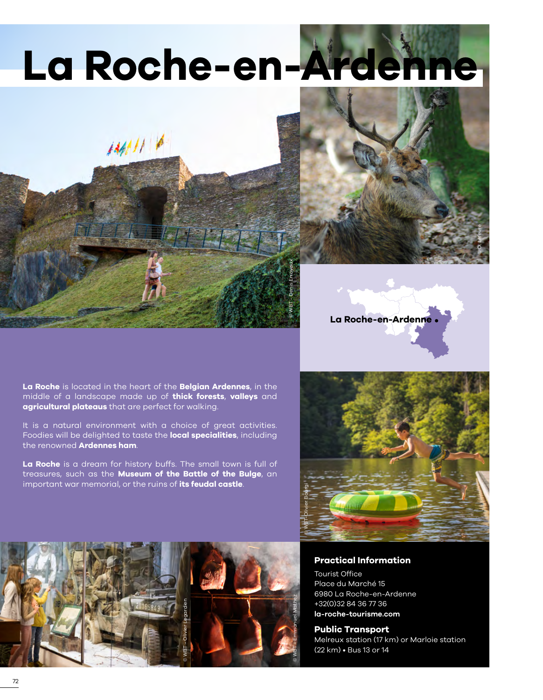# **La Roche-en-Ardenne**

### **La Roche** is located in the heart of the **Belgian Ardennes**, in the middle of a landscape made up of **thick forests**, **valleys** and **agricultural plateaus** that are perfect for walking.

 $1441116$ 

It is a natural environment with a choice of great activities. Foodies will be delighted to taste the **local specialities**, including the renowned **Ardennes ham**.

**La Roche** is a dream for history buffs. The small town is full of treasures, such as the **Museum of the Battle of the Bulge**, an important war memorial, or the ruins of **its feudal castle**.









#### **Practical Information**

Tourist Office Place du Marché 15 6980 La Roche-en-Ardenne +32(0)32 84 36 77 36 **[la-roche-tourisme.com](http://www.la-roche-tourisme.com/)**

#### **Public Transport**

Melreux station (17 km) or Marloie station (22 km) • Bus 13 or 14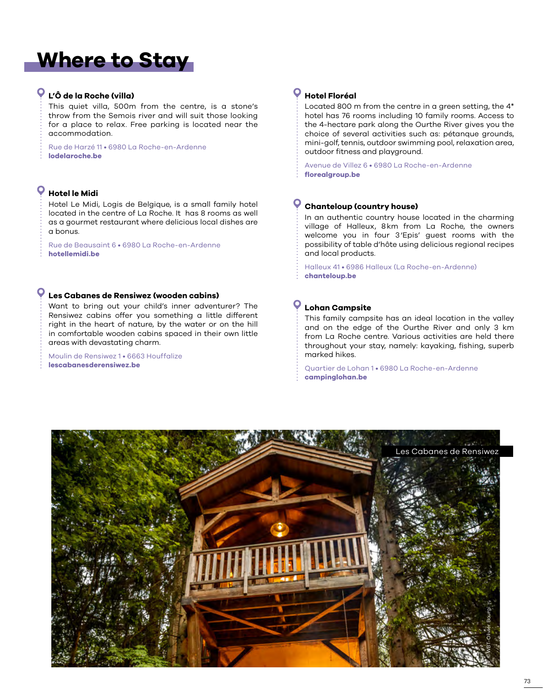## **Where to Stay**

#### **L'Ô de la Roche (villa)**

This quiet villa, 500m from the centre, is a stone's throw from the Semois river and will suit those looking for a place to relax. Free parking is located near the accommodation.

Rue de Harzé 11 • 6980 La Roche-en-Ardenne **[lodelaroche.be](www.lodelaroche.be)**

#### **Hotel le Midi**

Hotel Le Midi, Logis de Belgique, is a small family hotel located in the centre of La Roche. It has 8 rooms as well as a gourmet restaurant where delicious local dishes are a bonus.

Rue de Beausaint 6 • 6980 La Roche-en-Ardenne **[hotellemidi.be](www.hotellemidi.be)**

#### **Les Cabanes de Rensiwez (wooden cabins)**

Want to bring out your child's inner adventurer? The Rensiwez cabins offer you something a little different right in the heart of nature, by the water or on the hill in comfortable wooden cabins spaced in their own little areas with devastating charm.

Moulin de Rensiwez 1 • 6663 Houffalize **[lescabanesderensiwez.be](www.lescabanesderensiwez.be)**

#### **Hotel Floréal**

Located 800 m from the centre in a green setting, the 4\* hotel has 76 rooms including 10 family rooms. Access to the 4-hectare park along the Ourthe River gives you the choice of several activities such as: pétanque grounds, mini-golf, tennis, outdoor swimming pool, relaxation area, outdoor fitness and playground.

Avenue de Villez 6 • 6980 La Roche-en-Ardenne **[florealgroup.be](https://www.florealgroup.be/page/la-roche.html)**

#### **Chanteloup (country house)**

In an authentic country house located in the charming village of Halleux, 8km from La Roche, the owners welcome you in four 3'Epis' guest rooms with the possibility of table d'hôte using delicious regional recipes and local products.

Halleux 41 • 6986 Halleux (La Roche-en-Ardenne) **[chanteloup.be](www.chanteloup.be)**

#### **Lohan Campsite**

This family campsite has an ideal location in the valley and on the edge of the Ourthe River and only 3 km from La Roche centre. Various activities are held there throughout your stay, namely: kayaking, fishing, superb marked hikes.

Quartier de Lohan 1 • 6980 La Roche-en-Ardenne **[campinglohan.be](www.campinglohan.be)**

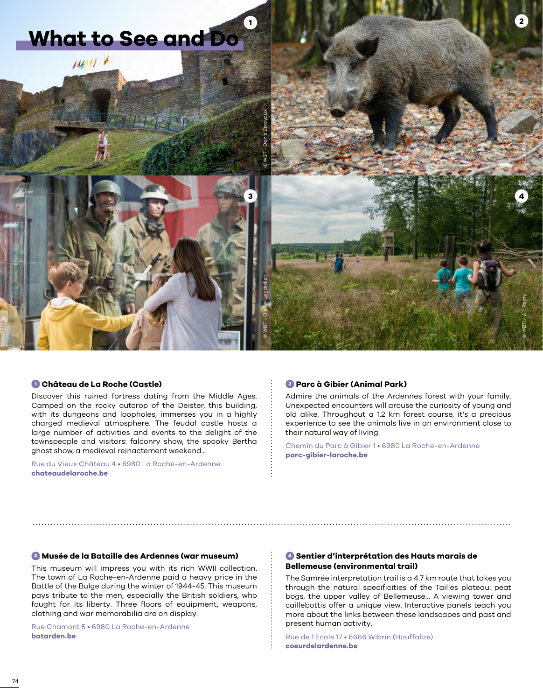

#### **<sup>1</sup> Château de La Roche (Castle)**

Discover this ruined fortress dating from the Middle Ages. Camped on the rocky outcrop of the Deister, this building, with its dungeons and loopholes, immerses you in a highly charged medieval atmosphere. The feudal castle hosts a large number of activities and events to the delight of the townspeople and visitors: falconry show, the spooky Bertha ghost show, a medieval reinactement weekend...

Rue du Vieux Château 4 • 6980 La Roche-en-Ardenne **[chateaudelaroche.be](http://www.chateaudelaroche.be/)**

#### **<sup>2</sup> Parc à Gibier (Animal Park)**

Admire the animals of the Ardennes forest with your family. Unexpected encounters will arouse the curiosity of young and old alike. Throughout a 1.2 km forest course, it's a precious experience to see the animals live in an environment close to their natural way of living.

Chemin du Parc à Gibier 1 • 6980 La Roche-en-Ardenne **[parc-gibier-laroche.be](http://www.parc-gibier-laroche.be/)**

#### **<sup>3</sup> Musée de la Bataille des Ardennes (war museum)**

This museum will impress you with its rich WWII collection. The town of La Roche-en-Ardenne paid a heavy price in the Battle of the Bulge during the winter of 1944-45. This museum pays tribute to the men, especially the British soldiers, who fought for its liberty. Three floors of equipment, weapons, clothing and war memorabilia are on display.

Rue Chamont 5 • 6980 La Roche-en-Ardenne **[batarden.be](http://www.batarden.be/)**

#### **<sup>4</sup> Sentier d'interprétation des Hauts marais de Bellemeuse (environmental trail)**

The Samrée interpretation trail is a 4.7 km route that takes you through the natural specificities of the Tailles plateau: peat bogs, the upper valley of Bellemeuse… A viewing tower and caillebottis offer a unique view. Interactive panels teach you more about the links between these landscapes and past and present human activity.

Rue de l'Ecole 17 • 6666 Wibrin (Houffalize) **[coeurdelardenne.be](https://www.coeurdelardenne.be/diffusio/fr/bouger/terre/samree/sentier-d-interpretation-des-hauts-marais-de-bellemeuse_TFO11688.php)**